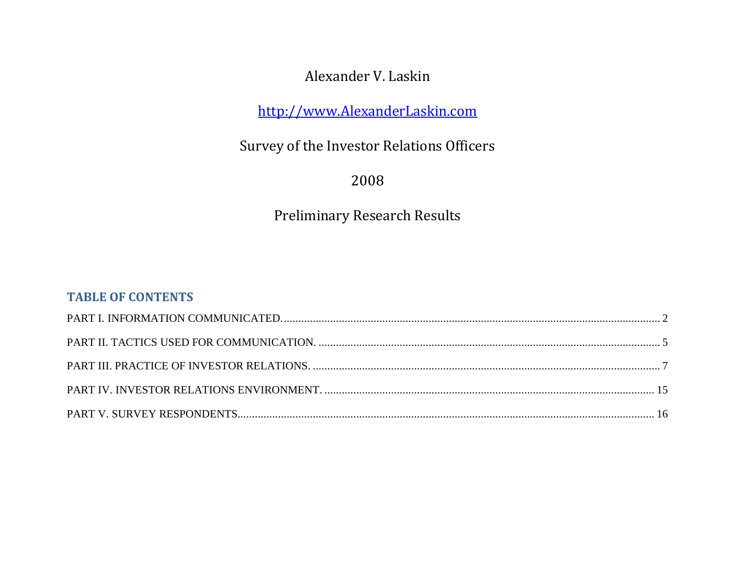# Alexander V. Laskin

[http://www.AlexanderLaskin.com](http://www.alexanderlaskin.com/)

Survey of the Investor Relations Officers

2008

Preliminary Research Results

## **TABLE OF CONTENTS**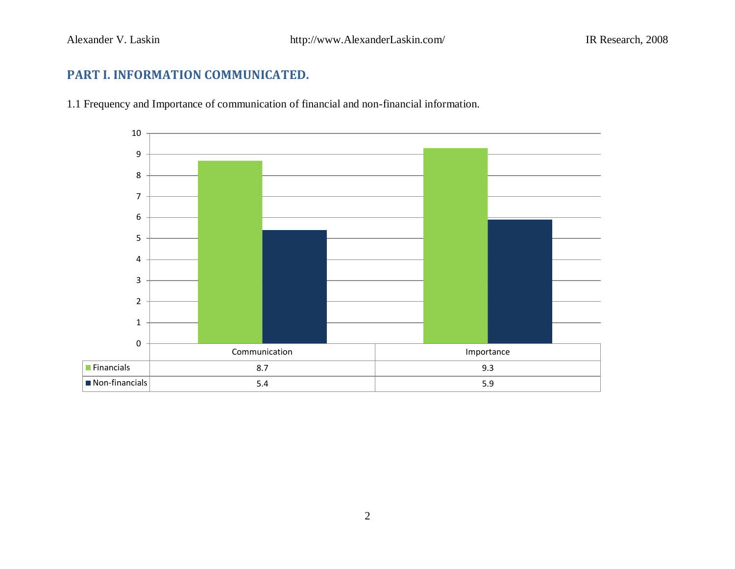# <span id="page-1-0"></span>**PART I. INFORMATION COMMUNICATED.**

1.1 Frequency and Importance of communication of financial and non-financial information.

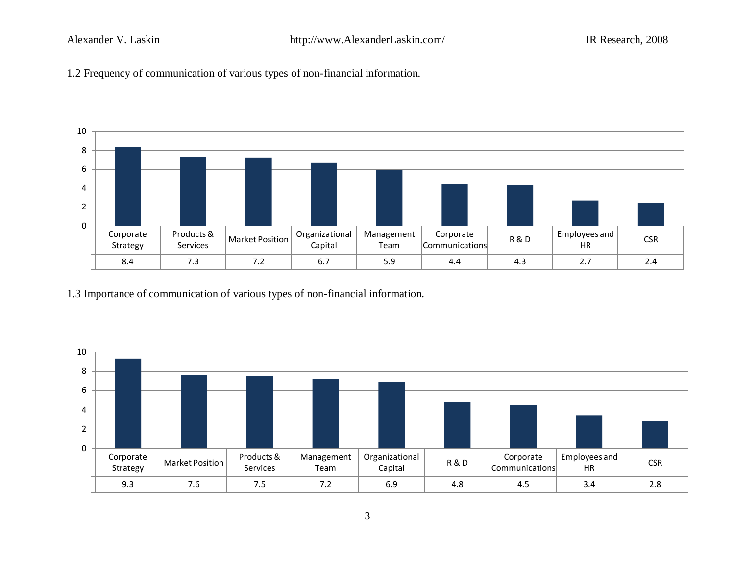



1.3 Importance of communication of various types of non-financial information.

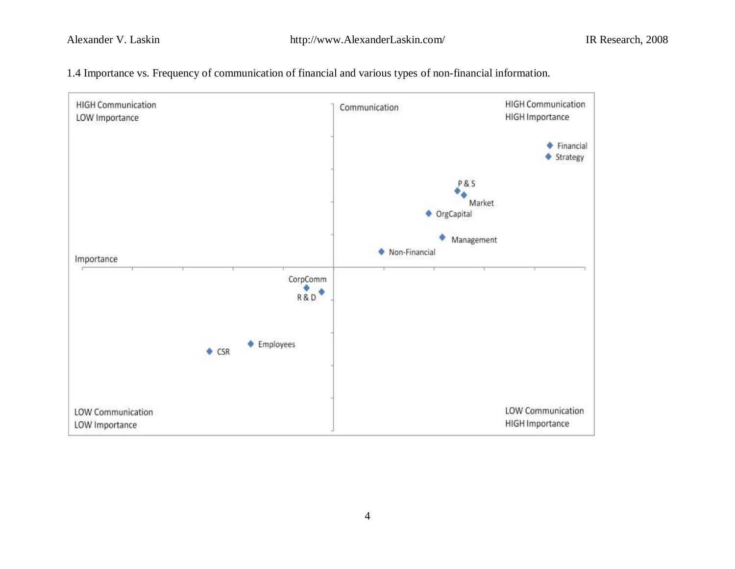

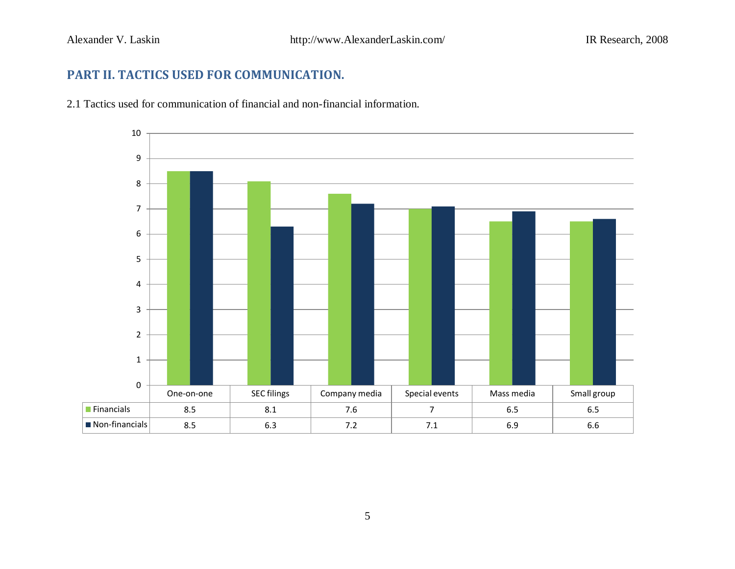# <span id="page-4-0"></span>**PART II. TACTICS USED FOR COMMUNICATION.**

2.1 Tactics used for communication of financial and non-financial information.

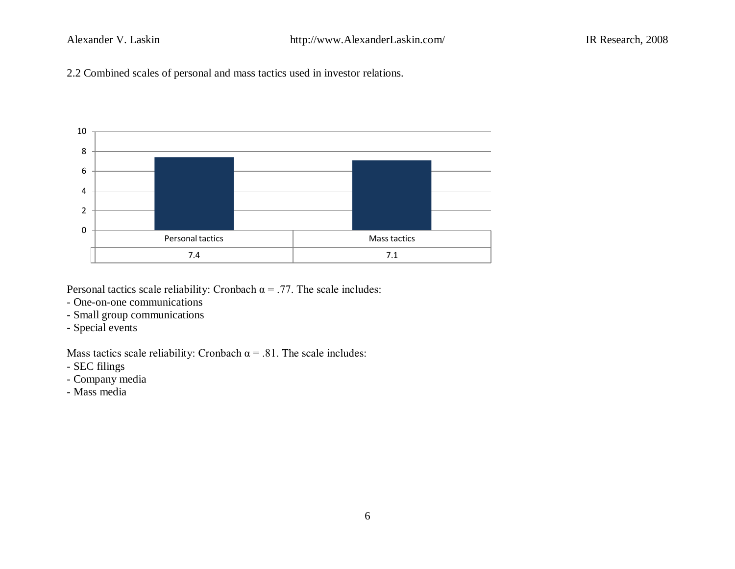2.2 Combined scales of personal and mass tactics used in investor relations.



Personal tactics scale reliability: Cronbach  $\alpha = .77$ . The scale includes:

- One-on-one communications
- Small group communications
- Special events

Mass tactics scale reliability: Cronbach  $\alpha$  = .81. The scale includes:

- SEC filings
- Company media
- Mass media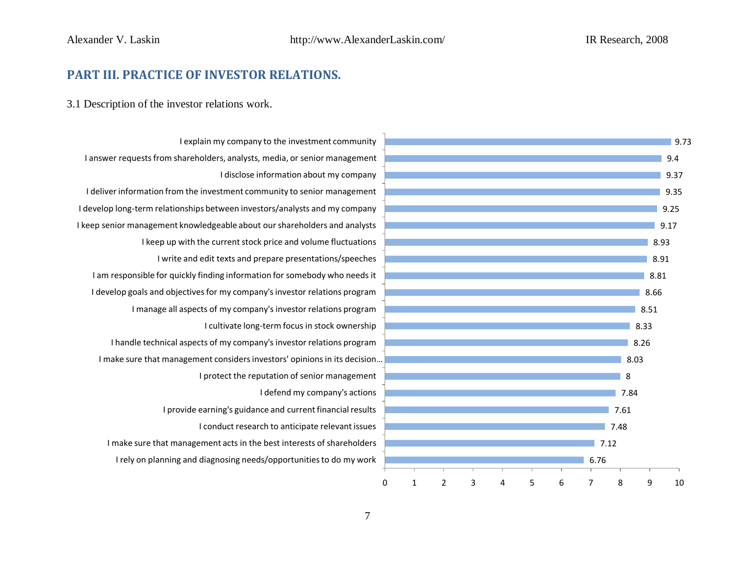### <span id="page-6-0"></span>**PART III. PRACTICE OF INVESTOR RELATIONS.**

3.1 Description of the investor relations work.



I rely on planning and diagnosing needs/opportunities to do my work I make sure that management acts in the best interests of shareholders I conduct research to anticipate relevant issues I provide earning's guidance and current financial results I defend my company's actions I protect the reputation of senior management I make sure that management considers investors' opinions in its decision … I handle technical aspects of my company's investor relations program I cultivate long-term focus in stock ownership I manage all aspects of my company's investor relations program I develop goals and objectives for my company's investor relations program I am responsible for quickly finding information for somebody who needs it I write and edit texts and prepare presentations/speeches I keep up with the current stock price and volume fluctuations I keep senior management knowledgeable about our shareholders and analysts I develop long-term relationships between investors/analysts and my company I deliver information from the investment community to senior management I disclose information about my company I answer requests from shareholders, analysts, media, or senior management I explain my company to the investment community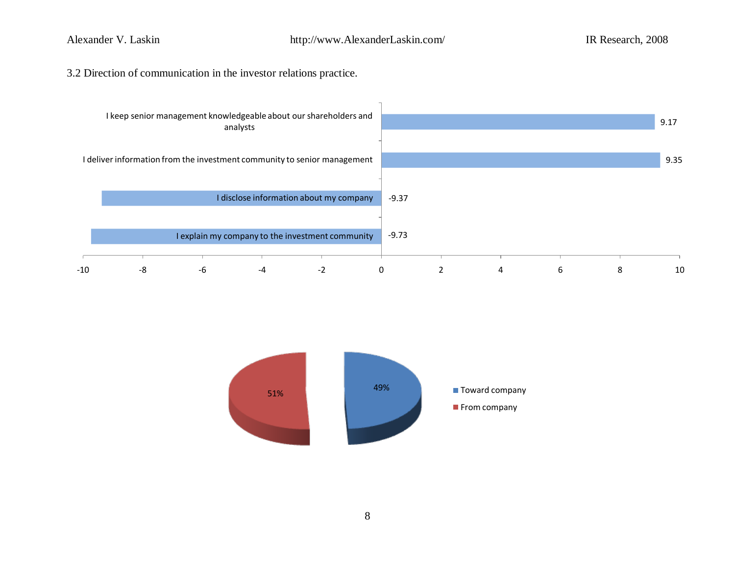3.2 Direction of communication in the investor relations practice.



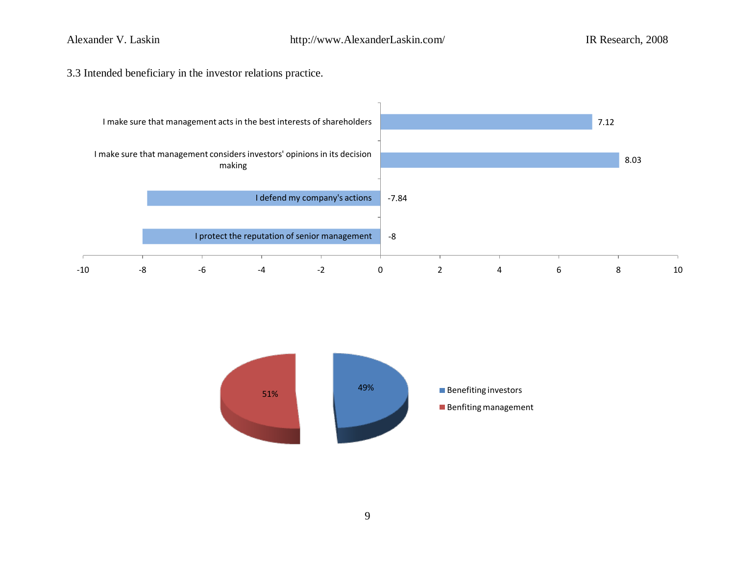3.3 Intended beneficiary in the investor relations practice.



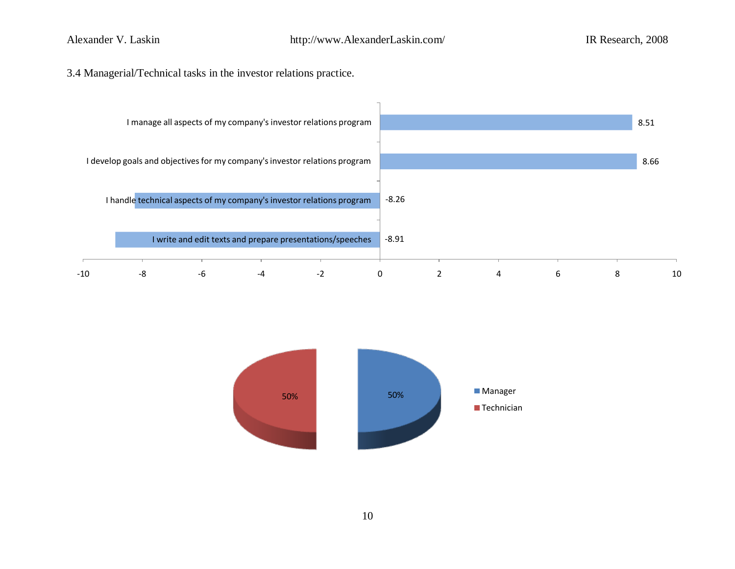### 3.4 Managerial/Technical tasks in the investor relations practice.



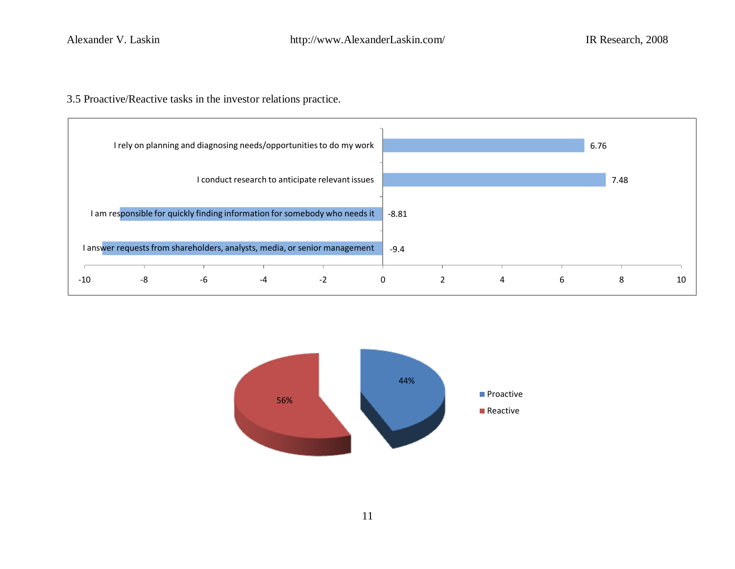3.5 Proactive/Reactive tasks in the investor relations practice.





11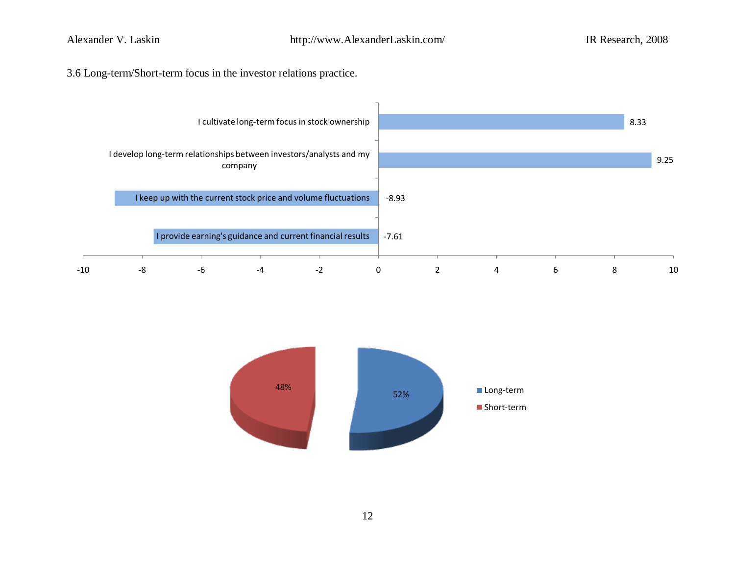3.6 Long-term/Short-term focus in the investor relations practice.



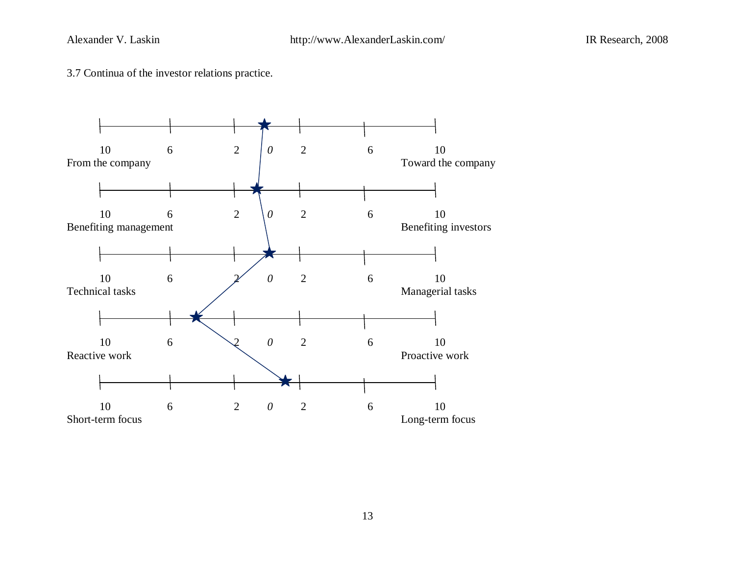3.7 Continua of the investor relations practice.

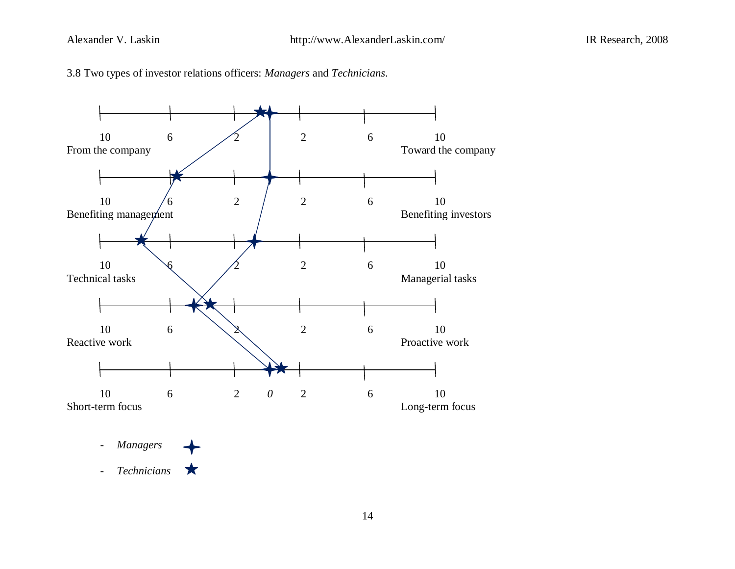



*- Managers - Technicians*★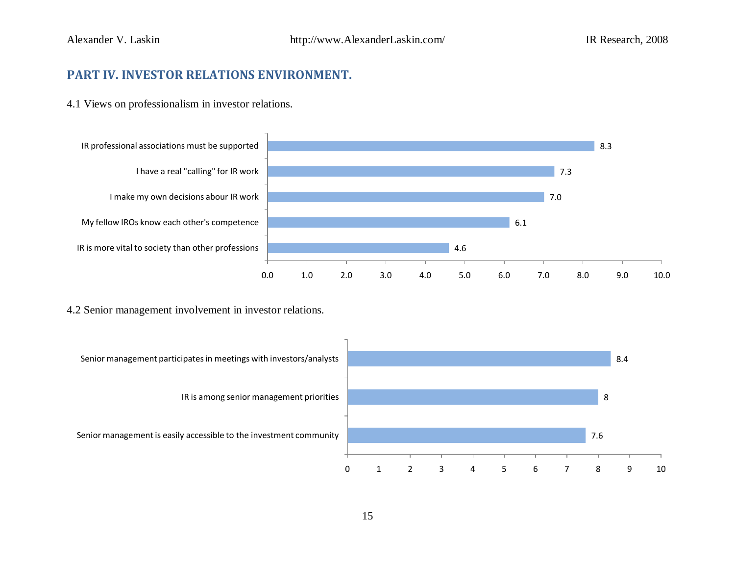### <span id="page-14-0"></span>**PART IV. INVESTOR RELATIONS ENVIRONMENT.**

4.1 Views on professionalism in investor relations.



4.2 Senior management involvement in investor relations.

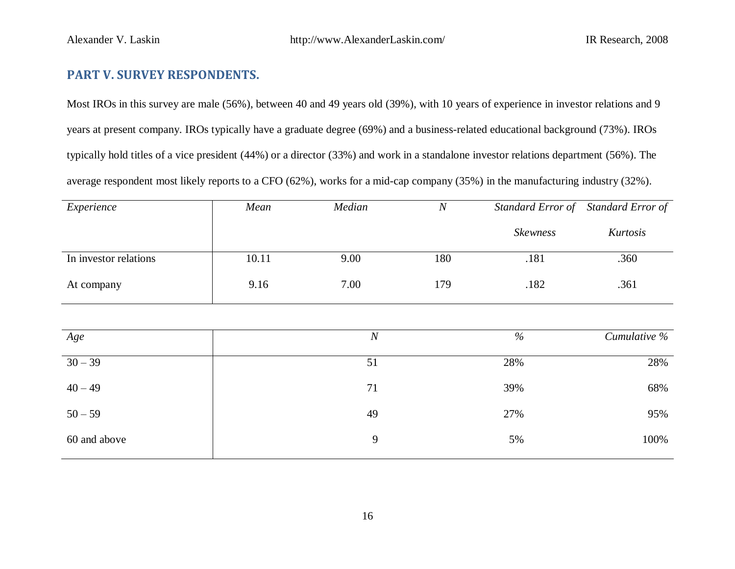### <span id="page-15-0"></span>**PART V. SURVEY RESPONDENTS.**

Most IROs in this survey are male (56%), between 40 and 49 years old (39%), with 10 years of experience in investor relations and 9 years at present company. IROs typically have a graduate degree (69%) and a business-related educational background (73%). IROs typically hold titles of a vice president (44%) or a director (33%) and work in a standalone investor relations department (56%). The average respondent most likely reports to a CFO (62%), works for a mid-cap company (35%) in the manufacturing industry (32%).

| Experience            | Mean  | Median           | $\overline{N}$ | Standard Error of Standard Error of |              |
|-----------------------|-------|------------------|----------------|-------------------------------------|--------------|
|                       |       |                  |                | <b>Skewness</b>                     | Kurtosis     |
| In investor relations | 10.11 | 9.00             | 180            | .181                                | .360         |
| At company            | 9.16  | 7.00             | 179<br>.182    |                                     | .361         |
|                       |       |                  |                |                                     |              |
| Age                   |       | $\boldsymbol{N}$ |                | $\%$                                | Cumulative % |
| $30 - 39$             |       | 51               |                | 28%                                 | 28%          |
| $40 - 49$             |       | 71               |                | 39%                                 | 68%          |
| $50 - 59$             |       | 49               |                | 27%                                 | 95%          |
| 60 and above          |       | $\boldsymbol{9}$ |                | 5%                                  | 100%         |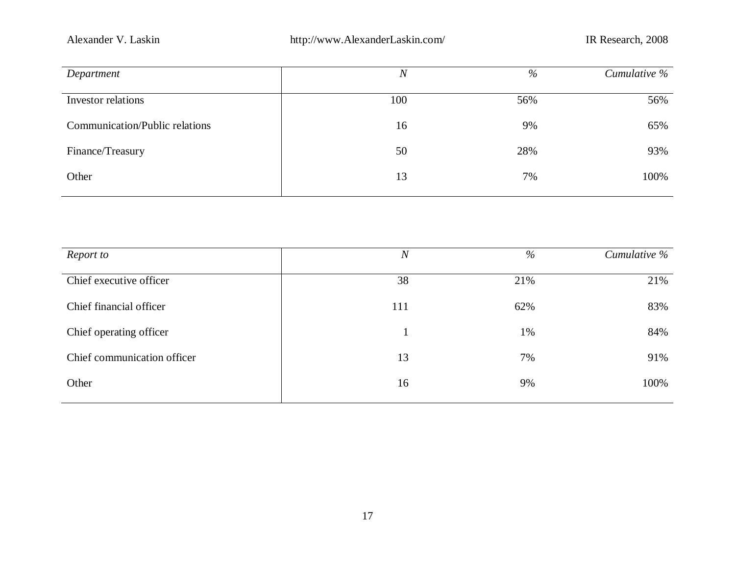| Department                            | $\overline{N}$ | $\%$ | Cumulative % |
|---------------------------------------|----------------|------|--------------|
| Investor relations                    | 100            | 56%  | 56%          |
| <b>Communication/Public relations</b> | 16             | 9%   | 65%          |
| Finance/Treasury                      | 50             | 28%  | 93%          |
| Other                                 | 13             | 7%   | 100%         |

| Report to                   | $\boldsymbol{N}$ | $\%$ | Cumulative % |
|-----------------------------|------------------|------|--------------|
| Chief executive officer     | 38               | 21%  | 21%          |
| Chief financial officer     | 111              | 62%  | 83%          |
| Chief operating officer     |                  | 1%   | 84%          |
| Chief communication officer | 13               | 7%   | 91%          |
| Other                       | 16               | 9%   | 100%         |
|                             |                  |      |              |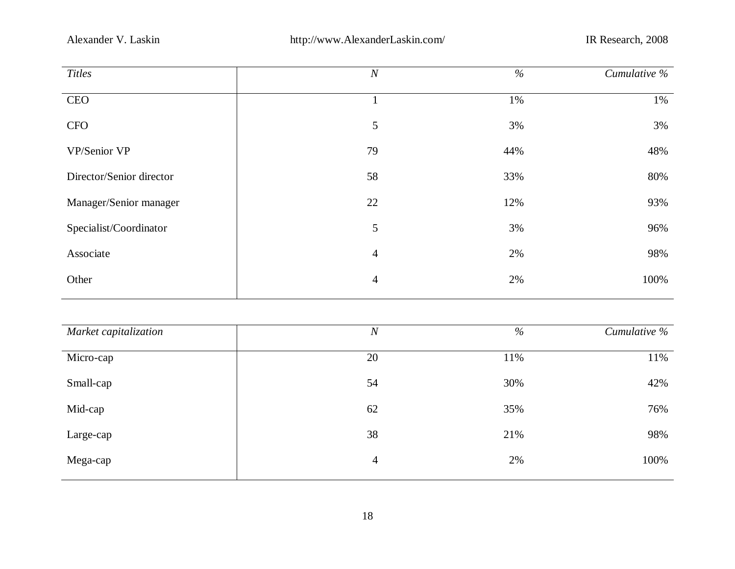| <b>Titles</b>            | $\boldsymbol{N}$ | $\%$ | Cumulative % |
|--------------------------|------------------|------|--------------|
| <b>CEO</b>               |                  | 1%   | 1%           |
| <b>CFO</b>               | 5                | 3%   | 3%           |
| VP/Senior VP             | 79               | 44%  | 48%          |
| Director/Senior director | 58               | 33%  | 80%          |
| Manager/Senior manager   | 22               | 12%  | 93%          |
| Specialist/Coordinator   | 5                | 3%   | 96%          |
| Associate                | $\overline{4}$   | 2%   | 98%          |
| Other                    | $\overline{4}$   | 2%   | 100%         |
|                          |                  |      |              |

| Market capitalization | $\boldsymbol{N}$ | $\%$ | Cumulative % |
|-----------------------|------------------|------|--------------|
| Micro-cap             | 20               | 11%  | 11%          |
| Small-cap             | 54               | 30%  | 42%          |
| Mid-cap               | 62               | 35%  | 76%          |
| Large-cap             | 38               | 21%  | 98%          |
| Mega-cap              | $\overline{4}$   | 2%   | 100%         |